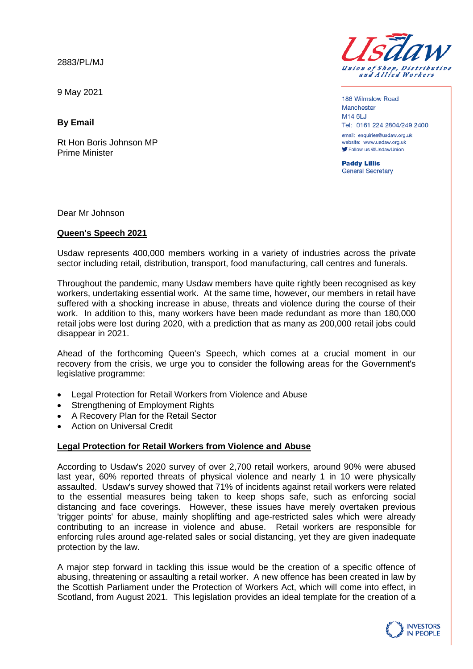2883/PL/MJ

9 May 2021

**By Email**

Rt Hon Boris Johnson MP Prime Minister



188 Wilmslow Road Manchester **M14 6LJ** Tel: 0161 224 2804/249 2400 email: enquiries@usdaw.org.uk

website: www.usdaw.org.uk Follow us @UsdawUnion

**Paddy Lillis** General Secretary

Dear Mr Johnson

## **Queen's Speech 2021**

Usdaw represents 400,000 members working in a variety of industries across the private sector including retail, distribution, transport, food manufacturing, call centres and funerals.

Throughout the pandemic, many Usdaw members have quite rightly been recognised as key workers, undertaking essential work. At the same time, however, our members in retail have suffered with a shocking increase in abuse, threats and violence during the course of their work. In addition to this, many workers have been made redundant as more than 180,000 retail jobs were lost during 2020, with a prediction that as many as 200,000 retail jobs could disappear in 2021.

Ahead of the forthcoming Queen's Speech, which comes at a crucial moment in our recovery from the crisis, we urge you to consider the following areas for the Government's legislative programme:

- Legal Protection for Retail Workers from Violence and Abuse
- Strengthening of Employment Rights
- A Recovery Plan for the Retail Sector
- Action on Universal Credit

# **Legal Protection for Retail Workers from Violence and Abuse**

According to Usdaw's 2020 survey of over 2,700 retail workers, around 90% were abused last year, 60% reported threats of physical violence and nearly 1 in 10 were physically assaulted. Usdaw's survey showed that 71% of incidents against retail workers were related to the essential measures being taken to keep shops safe, such as enforcing social distancing and face coverings. However, these issues have merely overtaken previous 'trigger points' for abuse, mainly shoplifting and age-restricted sales which were already contributing to an increase in violence and abuse. Retail workers are responsible for enforcing rules around age-related sales or social distancing, yet they are given inadequate protection by the law.

A major step forward in tackling this issue would be the creation of a specific offence of abusing, threatening or assaulting a retail worker. A new offence has been created in law by the Scottish Parliament under the Protection of Workers Act, which will come into effect, in Scotland, from August 2021. This legislation provides an ideal template for the creation of a

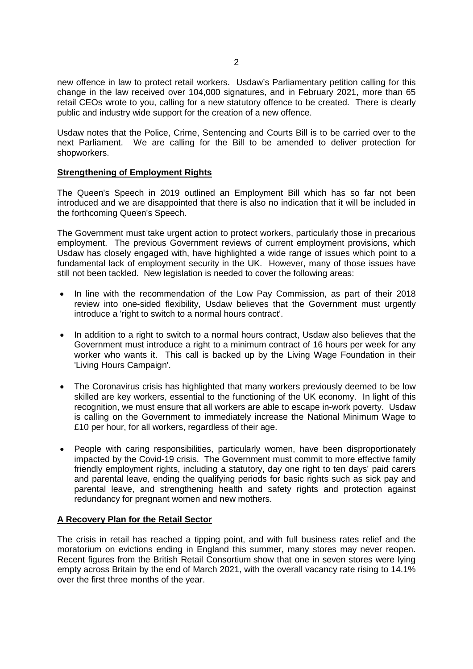new offence in law to protect retail workers. Usdaw's Parliamentary petition calling for this change in the law received over 104,000 signatures, and in February 2021, more than 65 retail CEOs wrote to you, calling for a new statutory offence to be created. There is clearly public and industry wide support for the creation of a new offence.

Usdaw notes that the Police, Crime, Sentencing and Courts Bill is to be carried over to the next Parliament. We are calling for the Bill to be amended to deliver protection for shopworkers.

# **Strengthening of Employment Rights**

The Queen's Speech in 2019 outlined an Employment Bill which has so far not been introduced and we are disappointed that there is also no indication that it will be included in the forthcoming Queen's Speech.

The Government must take urgent action to protect workers, particularly those in precarious employment. The previous Government reviews of current employment provisions, which Usdaw has closely engaged with, have highlighted a wide range of issues which point to a fundamental lack of employment security in the UK. However, many of those issues have still not been tackled. New legislation is needed to cover the following areas:

- In line with the recommendation of the Low Pay Commission, as part of their 2018 review into one-sided flexibility, Usdaw believes that the Government must urgently introduce a 'right to switch to a normal hours contract'.
- In addition to a right to switch to a normal hours contract, Usdaw also believes that the Government must introduce a right to a minimum contract of 16 hours per week for any worker who wants it. This call is backed up by the Living Wage Foundation in their 'Living Hours Campaign'.
- The Coronavirus crisis has highlighted that many workers previously deemed to be low skilled are key workers, essential to the functioning of the UK economy. In light of this recognition, we must ensure that all workers are able to escape in-work poverty. Usdaw is calling on the Government to immediately increase the National Minimum Wage to £10 per hour, for all workers, regardless of their age.
- People with caring responsibilities, particularly women, have been disproportionately impacted by the Covid-19 crisis. The Government must commit to more effective family friendly employment rights, including a statutory, day one right to ten days' paid carers and parental leave, ending the qualifying periods for basic rights such as sick pay and parental leave, and strengthening health and safety rights and protection against redundancy for pregnant women and new mothers.

### **A Recovery Plan for the Retail Sector**

The crisis in retail has reached a tipping point, and with full business rates relief and the moratorium on evictions ending in England this summer, many stores may never reopen. Recent figures from the British Retail Consortium show that one in seven stores were lying empty across Britain by the end of March 2021, with the overall vacancy rate rising to 14.1% over the first three months of the year.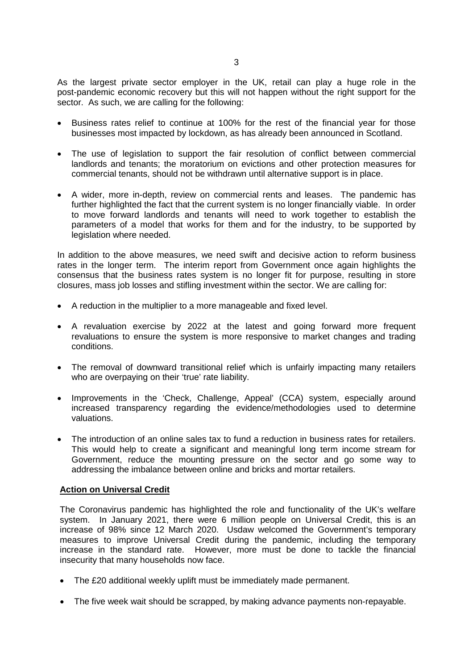As the largest private sector employer in the UK, retail can play a huge role in the post-pandemic economic recovery but this will not happen without the right support for the sector. As such, we are calling for the following:

- Business rates relief to continue at 100% for the rest of the financial year for those businesses most impacted by lockdown, as has already been announced in Scotland.
- The use of legislation to support the fair resolution of conflict between commercial landlords and tenants; the moratorium on evictions and other protection measures for commercial tenants, should not be withdrawn until alternative support is in place.
- A wider, more in-depth, review on commercial rents and leases. The pandemic has further highlighted the fact that the current system is no longer financially viable. In order to move forward landlords and tenants will need to work together to establish the parameters of a model that works for them and for the industry, to be supported by legislation where needed.

In addition to the above measures, we need swift and decisive action to reform business rates in the longer term. The interim report from Government once again highlights the consensus that the business rates system is no longer fit for purpose, resulting in store closures, mass job losses and stifling investment within the sector. We are calling for:

- A reduction in the multiplier to a more manageable and fixed level.
- A revaluation exercise by 2022 at the latest and going forward more frequent revaluations to ensure the system is more responsive to market changes and trading conditions.
- The removal of downward transitional relief which is unfairly impacting many retailers who are overpaying on their 'true' rate liability.
- Improvements in the 'Check, Challenge, Appeal' (CCA) system, especially around increased transparency regarding the evidence/methodologies used to determine valuations.
- The introduction of an online sales tax to fund a reduction in business rates for retailers. This would help to create a significant and meaningful long term income stream for Government, reduce the mounting pressure on the sector and go some way to addressing the imbalance between online and bricks and mortar retailers.

### **Action on Universal Credit**

The Coronavirus pandemic has highlighted the role and functionality of the UK's welfare system. In January 2021, there were 6 million people on Universal Credit, this is an increase of 98% since 12 March 2020. Usdaw welcomed the Government's temporary measures to improve Universal Credit during the pandemic, including the temporary increase in the standard rate. However, more must be done to tackle the financial insecurity that many households now face.

- The £20 additional weekly uplift must be immediately made permanent.
- The five week wait should be scrapped, by making advance payments non-repayable.